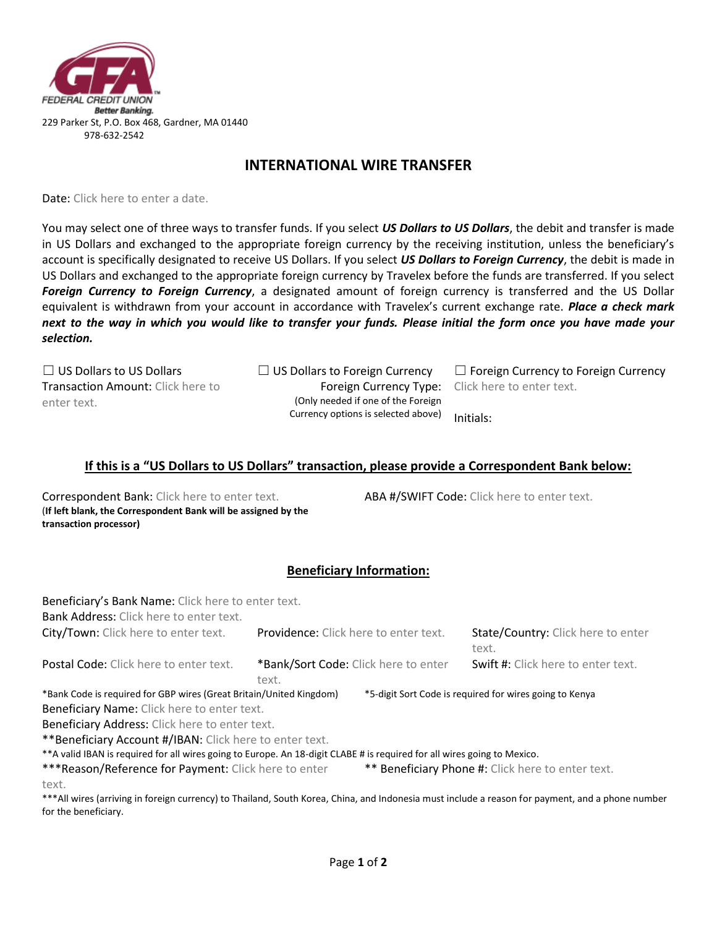

### **INTERNATIONAL WIRE TRANSFER**

Date: Click here to enter a date.

You may select one of three ways to transfer funds. If you select *US Dollars to US Dollars*, the debit and transfer is made in US Dollars and exchanged to the appropriate foreign currency by the receiving institution, unless the beneficiary's account is specifically designated to receive US Dollars. If you select *US Dollars to Foreign Currency*, the debit is made in US Dollars and exchanged to the appropriate foreign currency by Travelex before the funds are transferred. If you select *Foreign Currency to Foreign Currency*, a designated amount of foreign currency is transferred and the US Dollar equivalent is withdrawn from your account in accordance with Travelex's current exchange rate. *Place a check mark next to the way in which you would like to transfer your funds. Please initial the form once you have made your selection.*

Transaction Amount: Click here to enter text.

Foreign Currency Type: (Only needed if one of the Foreign Currency options is selected above)

☐ US Dollars to US Dollars ☐ US Dollars to Foreign Currency ☐ Foreign Currency to Foreign Currency Click here to enter text.

Initials:

#### **If this is a "US Dollars to US Dollars" transaction, please provide a Correspondent Bank below:**

Correspondent Bank: Click here to enter text. ABA #/SWIFT Code: Click here to enter text. (**If left blank, the Correspondent Bank will be assigned by the transaction processor)**

# **Beneficiary Information:**

| Beneficiary's Bank Name: Click here to enter text.<br><b>Bank Address:</b> Click here to enter text.                                           |                                       |                                                         |                                             |
|------------------------------------------------------------------------------------------------------------------------------------------------|---------------------------------------|---------------------------------------------------------|---------------------------------------------|
| City/Town: Click here to enter text.                                                                                                           | Providence: Click here to enter text. |                                                         | State/Country: Click here to enter<br>text. |
| Postal Code: Click here to enter text.                                                                                                         | text.                                 | *Bank/Sort Code: Click here to enter                    | Swift #: Click here to enter text.          |
| *Bank Code is required for GBP wires (Great Britain/United Kingdom)<br>Beneficiary Name: Click here to enter text.                             |                                       | *5-digit Sort Code is required for wires going to Kenya |                                             |
| Beneficiary Address: Click here to enter text.                                                                                                 |                                       |                                                         |                                             |
| ** Beneficiary Account #/IBAN: Click here to enter text.                                                                                       |                                       |                                                         |                                             |
| ** A valid IBAN is required for all wires going to Europe. An 18-digit CLABE # is required for all wires going to Mexico.                      |                                       |                                                         |                                             |
| *** Reason/Reference for Payment: Click here to enter                                                                                          |                                       | ** Beneficiary Phone #: Click here to enter text.       |                                             |
| text.                                                                                                                                          |                                       |                                                         |                                             |
| ***All wires (arriving in foreign currency) to Thailand, South Korea, China, and Indonesia must include a reason for nayment, and a phone numb |                                       |                                                         |                                             |

ll wires (arriving in foreign currency) to Thailand, South Korea, China, and Indonesia must include a reason for payment, and a phone number for the beneficiary.